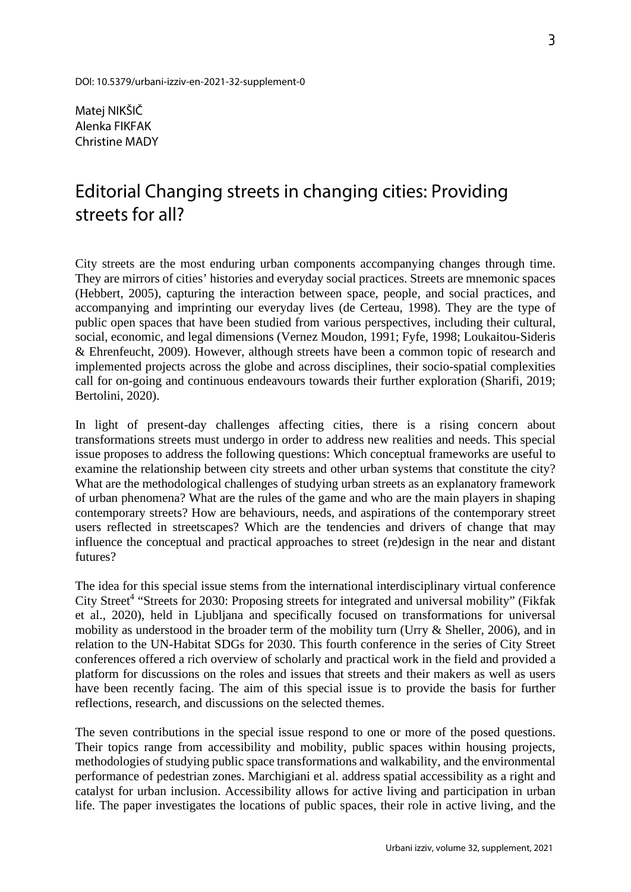Matej NIKŠIČ Alenka FIKFAK Christine MADY

## Editorial Changing streets in changing cities: Providing streets for all?

City streets are the most enduring urban components accompanying changes through time. They are mirrors of cities' histories and everyday social practices. Streets are mnemonic spaces (Hebbert, 2005), capturing the interaction between space, people, and social practices, and accompanying and imprinting our everyday lives (de Certeau, 1998). They are the type of public open spaces that have been studied from various perspectives, including their cultural, social, economic, and legal dimensions (Vernez Moudon, 1991; Fyfe, 1998; Loukaitou-Sideris & Ehrenfeucht, 2009). However, although streets have been a common topic of research and implemented projects across the globe and across disciplines, their socio-spatial complexities call for on-going and continuous endeavours towards their further exploration (Sharifi, 2019; Bertolini, 2020).

In light of present-day challenges affecting cities, there is a rising concern about transformations streets must undergo in order to address new realities and needs. This special issue proposes to address the following questions: Which conceptual frameworks are useful to examine the relationship between city streets and other urban systems that constitute the city? What are the methodological challenges of studying urban streets as an explanatory framework of urban phenomena? What are the rules of the game and who are the main players in shaping contemporary streets? How are behaviours, needs, and aspirations of the contemporary street users reflected in streetscapes? Which are the tendencies and drivers of change that may influence the conceptual and practical approaches to street (re)design in the near and distant futures?

The idea for this special issue stems from the international interdisciplinary virtual conference City Street<sup>4</sup> "Streets for 2030: Proposing streets for integrated and universal mobility" (Fikfak et al., 2020), held in Ljubljana and specifically focused on transformations for universal mobility as understood in the broader term of the mobility turn (Urry & Sheller, 2006), and in relation to the UN-Habitat SDGs for 2030. This fourth conference in the series of City Street conferences offered a rich overview of scholarly and practical work in the field and provided a platform for discussions on the roles and issues that streets and their makers as well as users have been recently facing. The aim of this special issue is to provide the basis for further reflections, research, and discussions on the selected themes.

The seven contributions in the special issue respond to one or more of the posed questions. Their topics range from accessibility and mobility, public spaces within housing projects, methodologies of studying public space transformations and walkability, and the environmental performance of pedestrian zones. Marchigiani et al. address spatial accessibility as a right and catalyst for urban inclusion. Accessibility allows for active living and participation in urban life. The paper investigates the locations of public spaces, their role in active living, and the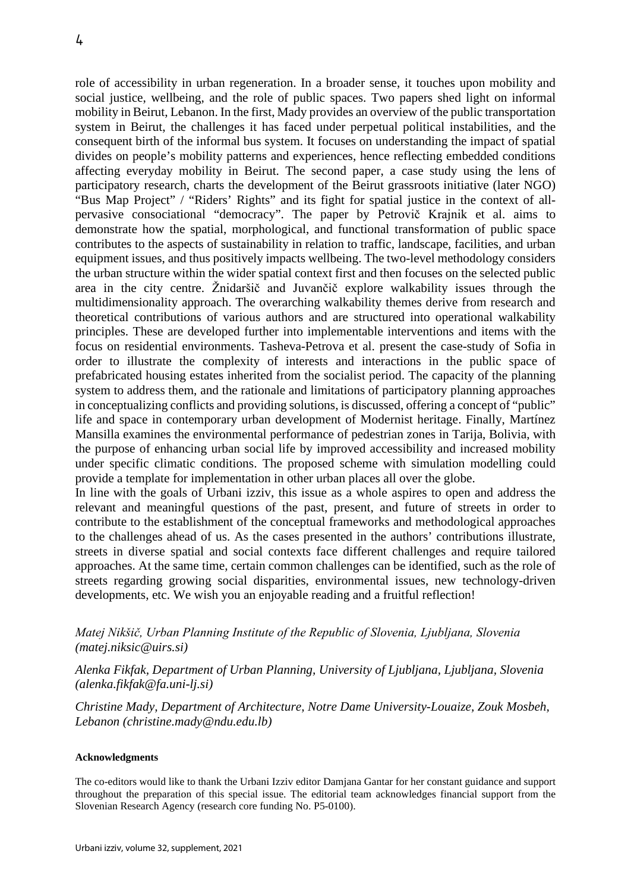role of accessibility in urban regeneration. In a broader sense, it touches upon mobility and social justice, wellbeing, and the role of public spaces. Two papers shed light on informal mobility in Beirut, Lebanon. In the first, Mady provides an overview of the public transportation system in Beirut, the challenges it has faced under perpetual political instabilities, and the consequent birth of the informal bus system. It focuses on understanding the impact of spatial divides on people's mobility patterns and experiences, hence reflecting embedded conditions affecting everyday mobility in Beirut. The second paper, a case study using the lens of participatory research, charts the development of the Beirut grassroots initiative (later NGO) "Bus Map Project" / "Riders' Rights" and its fight for spatial justice in the context of allpervasive consociational "democracy". The paper by Petrovič Krajnik et al. aims to demonstrate how the spatial, morphological, and functional transformation of public space contributes to the aspects of sustainability in relation to traffic, landscape, facilities, and urban equipment issues, and thus positively impacts wellbeing. The two-level methodology considers the urban structure within the wider spatial context first and then focuses on the selected public area in the city centre. Žnidaršič and Juvančič explore walkability issues through the multidimensionality approach. The overarching walkability themes derive from research and theoretical contributions of various authors and are structured into operational walkability principles. These are developed further into implementable interventions and items with the focus on residential environments. Tasheva-Petrova et al. present the case-study of Sofia in order to illustrate the complexity of interests and interactions in the public space of prefabricated housing estates inherited from the socialist period. The capacity of the planning system to address them, and the rationale and limitations of participatory planning approaches in conceptualizing conflicts and providing solutions, is discussed, offering a concept of "public" life and space in contemporary urban development of Modernist heritage. Finally, Martínez Mansilla examines the environmental performance of pedestrian zones in Tarija, Bolivia, with the purpose of enhancing urban social life by improved accessibility and increased mobility under specific climatic conditions. The proposed scheme with simulation modelling could provide a template for implementation in other urban places all over the globe.

In line with the goals of Urbani izziv, this issue as a whole aspires to open and address the relevant and meaningful questions of the past, present, and future of streets in order to contribute to the establishment of the conceptual frameworks and methodological approaches to the challenges ahead of us. As the cases presented in the authors' contributions illustrate, streets in diverse spatial and social contexts face different challenges and require tailored approaches. At the same time, certain common challenges can be identified, such as the role of streets regarding growing social disparities, environmental issues, new technology-driven developments, etc. We wish you an enjoyable reading and a fruitful reflection!

## *Matej Nikšič, Urban Planning Institute of the Republic of Slovenia, Ljubljana, Slovenia (matej.niksic@uirs.si)*

*Alenka Fikfak, Department of Urban Planning, University of Ljubljana, Ljubljana, Slovenia (alenka.fikfak@fa.uni-lj.si)*

*Christine Mady, Department of Architecture, Notre Dame University-Louaize, Zouk Mosbeh, Lebanon (christine.mady@ndu.edu.lb)*

## **Acknowledgments**

The co-editors would like to thank the Urbani Izziv editor Damjana Gantar for her constant guidance and support throughout the preparation of this special issue. The editorial team acknowledges financial support from the Slovenian Research Agency (research core funding No. P5-0100).